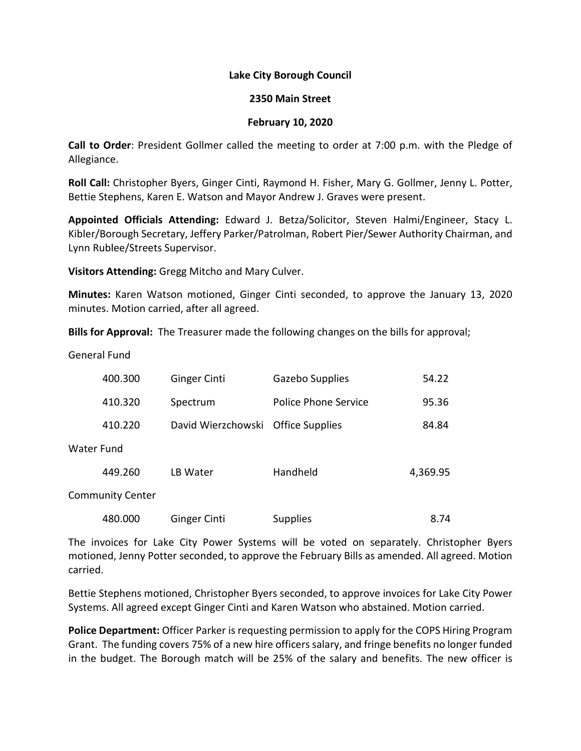## **Lake City Borough Council**

## **2350 Main Street**

## **February 10, 2020**

**Call to Order**: President Gollmer called the meeting to order at 7:00 p.m. with the Pledge of Allegiance.

**Roll Call:** Christopher Byers, Ginger Cinti, Raymond H. Fisher, Mary G. Gollmer, Jenny L. Potter, Bettie Stephens, Karen E. Watson and Mayor Andrew J. Graves were present.

**Appointed Officials Attending:** Edward J. Betza/Solicitor, Steven Halmi/Engineer, Stacy L. Kibler/Borough Secretary, Jeffery Parker/Patrolman, Robert Pier/Sewer Authority Chairman, and Lynn Rublee/Streets Supervisor.

**Visitors Attending:** Gregg Mitcho and Mary Culver.

**Minutes:** Karen Watson motioned, Ginger Cinti seconded, to approve the January 13, 2020 minutes. Motion carried, after all agreed.

**Bills for Approval:** The Treasurer made the following changes on the bills for approval;

General Fund

|                         | 400.300 | <b>Ginger Cinti</b> | Gazebo Supplies        | 54.22    |  |
|-------------------------|---------|---------------------|------------------------|----------|--|
|                         | 410.320 | Spectrum            | Police Phone Service   | 95.36    |  |
|                         | 410.220 | David Wierzchowski  | <b>Office Supplies</b> | 84.84    |  |
| Water Fund              |         |                     |                        |          |  |
|                         | 449.260 | LB Water            | Handheld               | 4,369.95 |  |
| <b>Community Center</b> |         |                     |                        |          |  |

| 480.000<br>Ginger Cinti | <b>Supplies</b> | 8.74 |
|-------------------------|-----------------|------|
|-------------------------|-----------------|------|

The invoices for Lake City Power Systems will be voted on separately. Christopher Byers motioned, Jenny Potter seconded, to approve the February Bills as amended. All agreed. Motion carried.

Bettie Stephens motioned, Christopher Byers seconded, to approve invoices for Lake City Power Systems. All agreed except Ginger Cinti and Karen Watson who abstained. Motion carried.

**Police Department:** Officer Parker is requesting permission to apply for the COPS Hiring Program Grant. The funding covers 75% of a new hire officers salary, and fringe benefits no longer funded in the budget. The Borough match will be 25% of the salary and benefits. The new officer is